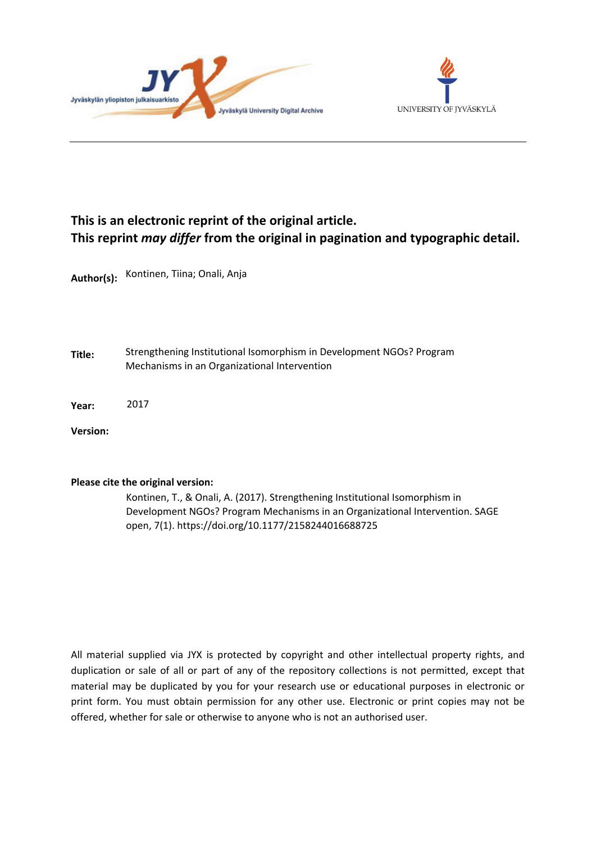



## **This is an electronic reprint of the original article. This reprint** *may differ* **from the original in pagination and typographic detail.**

**Author(s):**  Kontinen, Tiina; Onali, Anja

**Title:** Strengthening Institutional Isomorphism in Development NGOs? Program Mechanisms in an Organizational Intervention

**Year:**  2017

**Version:**

### **Please cite the original version:**

Kontinen, T., & Onali, A. (2017). Strengthening Institutional Isomorphism in Development NGOs? Program Mechanisms in an Organizational Intervention. SAGE open, 7(1). https://doi.org/10.1177/2158244016688725

All material supplied via JYX is protected by copyright and other intellectual property rights, and duplication or sale of all or part of any of the repository collections is not permitted, except that material may be duplicated by you for your research use or educational purposes in electronic or print form. You must obtain permission for any other use. Electronic or print copies may not be offered, whether for sale or otherwise to anyone who is not an authorised user.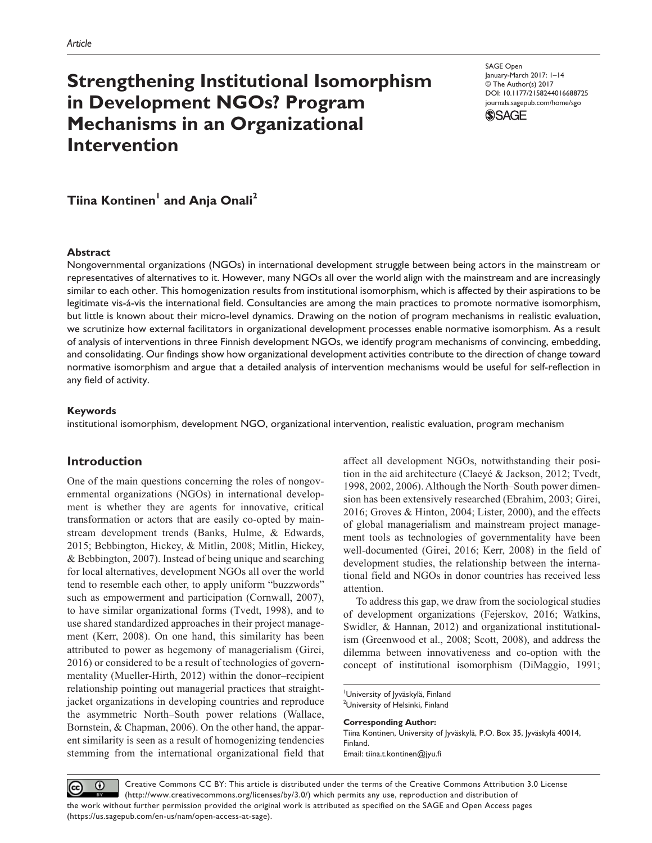# **Strengthening Institutional Isomorphism in Development NGOs? Program Mechanisms in an Organizational Intervention**

DOI: 10.1177/2158244016688725 SAGE Open January-March 2017: 1–14 © The Author(s) 2017 [journals.sagepub.com/home/sgo](https://journals.sagepub.com/home/sgo)



 $\textsf{Tiina Kontinen}^{\textsf{I}}$  and Anja Onali<sup>2</sup>

### **Abstract**

Nongovernmental organizations (NGOs) in international development struggle between being actors in the mainstream or representatives of alternatives to it. However, many NGOs all over the world align with the mainstream and are increasingly similar to each other. This homogenization results from institutional isomorphism, which is affected by their aspirations to be legitimate vis-á-vis the international field. Consultancies are among the main practices to promote normative isomorphism, but little is known about their micro-level dynamics. Drawing on the notion of program mechanisms in realistic evaluation, we scrutinize how external facilitators in organizational development processes enable normative isomorphism. As a result of analysis of interventions in three Finnish development NGOs, we identify program mechanisms of convincing, embedding, and consolidating. Our findings show how organizational development activities contribute to the direction of change toward normative isomorphism and argue that a detailed analysis of intervention mechanisms would be useful for self-reflection in any field of activity.

### **Keywords**

institutional isomorphism, development NGO, organizational intervention, realistic evaluation, program mechanism

### **Introduction**

One of the main questions concerning the roles of nongovernmental organizations (NGOs) in international development is whether they are agents for innovative, critical transformation or actors that are easily co-opted by mainstream development trends (Banks, Hulme, & Edwards, 2015; Bebbington, Hickey, & Mitlin, 2008; Mitlin, Hickey, & Bebbington, 2007). Instead of being unique and searching for local alternatives, development NGOs all over the world tend to resemble each other, to apply uniform "buzzwords" such as empowerment and participation (Cornwall, 2007), to have similar organizational forms (Tvedt, 1998), and to use shared standardized approaches in their project management (Kerr, 2008). On one hand, this similarity has been attributed to power as hegemony of managerialism (Girei, 2016) or considered to be a result of technologies of governmentality (Mueller-Hirth, 2012) within the donor–recipient relationship pointing out managerial practices that straightjacket organizations in developing countries and reproduce the asymmetric North–South power relations (Wallace, Bornstein, & Chapman, 2006). On the other hand, the apparent similarity is seen as a result of homogenizing tendencies stemming from the international organizational field that

affect all development NGOs, notwithstanding their position in the aid architecture (Claeyé & Jackson, 2012; Tvedt, 1998, 2002, 2006). Although the North–South power dimension has been extensively researched (Ebrahim, 2003; Girei, 2016; Groves & Hinton, 2004; Lister, 2000), and the effects of global managerialism and mainstream project management tools as technologies of governmentality have been well-documented (Girei, 2016; Kerr, 2008) in the field of development studies, the relationship between the international field and NGOs in donor countries has received less attention.

To address this gap, we draw from the sociological studies of development organizations (Fejerskov, 2016; Watkins, Swidler, & Hannan, 2012) and organizational institutionalism (Greenwood et al., 2008; Scott, 2008), and address the dilemma between innovativeness and co-option with the concept of institutional isomorphism (DiMaggio, 1991;

**Corresponding Author:**

Tiina Kontinen, University of Jyväskylä, P.O. Box 35, Jyväskylä 40014, Finland. Email: [tiina.t.kontinen@jyu.fi](mailto:tiina.t.kontinen@jyu.fi)

Creative Commons CC BY: This article is distributed under the terms of the Creative Commons Attribution 3.0 License  $\odot$ (cc) (http://www.creativecommons.org/licenses/by/3.0/) which permits any use, reproduction and distribution of the work without further permission provided the original work is attributed as specified on the SAGE and Open Access pages (https://us.sagepub.com/en-us/nam/open-access-at-sage).

<sup>1</sup> University of Jyväskylä, Finland <sup>2</sup>University of Helsinki, Finland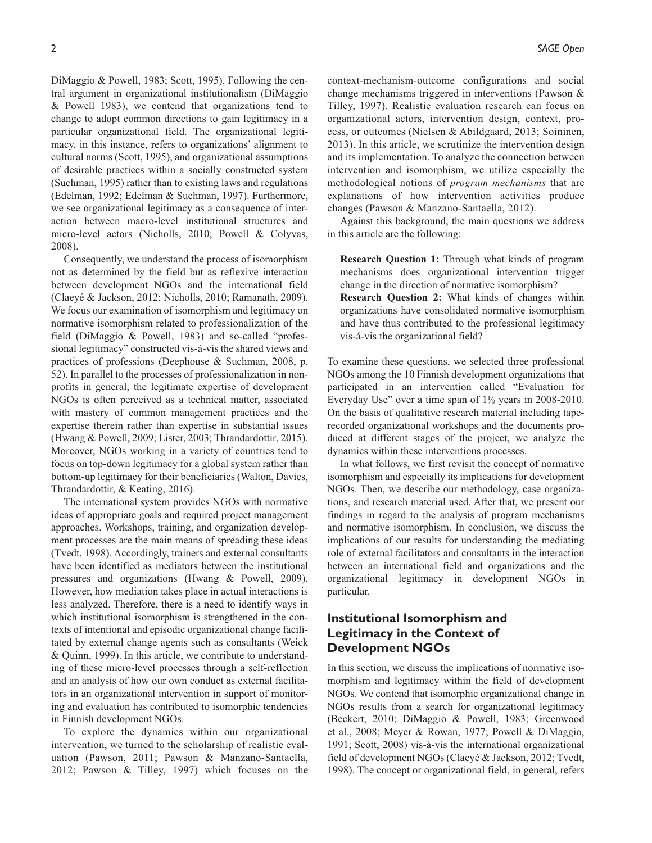DiMaggio & Powell, 1983; Scott, 1995). Following the central argument in organizational institutionalism (DiMaggio & Powell 1983), we contend that organizations tend to change to adopt common directions to gain legitimacy in a particular organizational field. The organizational legitimacy, in this instance, refers to organizations' alignment to cultural norms (Scott, 1995), and organizational assumptions of desirable practices within a socially constructed system (Suchman, 1995) rather than to existing laws and regulations (Edelman, 1992; Edelman & Suchman, 1997). Furthermore, we see organizational legitimacy as a consequence of interaction between macro-level institutional structures and micro-level actors (Nicholls, 2010; Powell & Colyvas, 2008).

Consequently, we understand the process of isomorphism not as determined by the field but as reflexive interaction between development NGOs and the international field (Claeyé & Jackson, 2012; Nicholls, 2010; Ramanath, 2009). We focus our examination of isomorphism and legitimacy on normative isomorphism related to professionalization of the field (DiMaggio & Powell, 1983) and so-called "professional legitimacy" constructed vis-á-vis the shared views and practices of professions (Deephouse & Suchman, 2008, p. 52). In parallel to the processes of professionalization in nonprofits in general, the legitimate expertise of development NGOs is often perceived as a technical matter, associated with mastery of common management practices and the expertise therein rather than expertise in substantial issues (Hwang & Powell, 2009; Lister, 2003; Thrandardottir, 2015). Moreover, NGOs working in a variety of countries tend to focus on top-down legitimacy for a global system rather than bottom-up legitimacy for their beneficiaries (Walton, Davies, Thrandardottir, & Keating, 2016).

The international system provides NGOs with normative ideas of appropriate goals and required project management approaches. Workshops, training, and organization development processes are the main means of spreading these ideas (Tvedt, 1998). Accordingly, trainers and external consultants have been identified as mediators between the institutional pressures and organizations (Hwang & Powell, 2009). However, how mediation takes place in actual interactions is less analyzed. Therefore, there is a need to identify ways in which institutional isomorphism is strengthened in the contexts of intentional and episodic organizational change facilitated by external change agents such as consultants (Weick & Quinn, 1999). In this article, we contribute to understanding of these micro-level processes through a self-reflection and an analysis of how our own conduct as external facilitators in an organizational intervention in support of monitoring and evaluation has contributed to isomorphic tendencies in Finnish development NGOs.

To explore the dynamics within our organizational intervention, we turned to the scholarship of realistic evaluation (Pawson, 2011; Pawson & Manzano-Santaella, 2012; Pawson & Tilley, 1997) which focuses on the

context-mechanism-outcome configurations and social change mechanisms triggered in interventions (Pawson & Tilley, 1997). Realistic evaluation research can focus on organizational actors, intervention design, context, process, or outcomes (Nielsen & Abildgaard, 2013; Soininen, 2013). In this article, we scrutinize the intervention design and its implementation. To analyze the connection between intervention and isomorphism, we utilize especially the methodological notions of *program mechanisms* that are explanations of how intervention activities produce changes (Pawson & Manzano-Santaella, 2012).

Against this background, the main questions we address in this article are the following:

**Research Question 1:** Through what kinds of program mechanisms does organizational intervention trigger change in the direction of normative isomorphism? **Research Question 2:** What kinds of changes within organizations have consolidated normative isomorphism and have thus contributed to the professional legitimacy vis-á-vis the organizational field?

To examine these questions, we selected three professional NGOs among the 10 Finnish development organizations that participated in an intervention called "Evaluation for Everyday Use" over a time span of 1½ years in 2008-2010. On the basis of qualitative research material including taperecorded organizational workshops and the documents produced at different stages of the project, we analyze the dynamics within these interventions processes.

In what follows, we first revisit the concept of normative isomorphism and especially its implications for development NGOs. Then, we describe our methodology, case organizations, and research material used. After that, we present our findings in regard to the analysis of program mechanisms and normative isomorphism. In conclusion, we discuss the implications of our results for understanding the mediating role of external facilitators and consultants in the interaction between an international field and organizations and the organizational legitimacy in development NGOs in particular.

### **Institutional Isomorphism and Legitimacy in the Context of Development NGOs**

In this section, we discuss the implications of normative isomorphism and legitimacy within the field of development NGOs. We contend that isomorphic organizational change in NGOs results from a search for organizational legitimacy (Beckert, 2010; DiMaggio & Powell, 1983; Greenwood et al., 2008; Meyer & Rowan, 1977; Powell & DiMaggio, 1991; Scott, 2008) vis-á-vis the international organizational field of development NGOs (Claeyé & Jackson, 2012; Tvedt, 1998). The concept or organizational field, in general, refers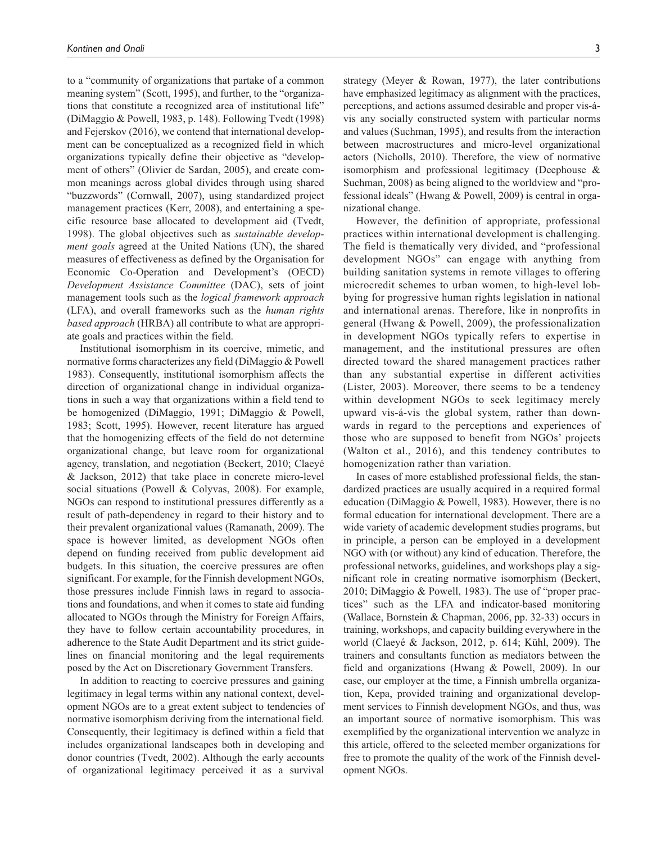to a "community of organizations that partake of a common meaning system" (Scott, 1995), and further, to the "organizations that constitute a recognized area of institutional life" (DiMaggio & Powell, 1983, p. 148). Following Tvedt (1998) and Fejerskov (2016), we contend that international development can be conceptualized as a recognized field in which organizations typically define their objective as "development of others" (Olivier de Sardan, 2005), and create common meanings across global divides through using shared "buzzwords" (Cornwall, 2007), using standardized project management practices (Kerr, 2008), and entertaining a specific resource base allocated to development aid (Tvedt, 1998). The global objectives such as *sustainable development goals* agreed at the United Nations (UN), the shared measures of effectiveness as defined by the Organisation for Economic Co-Operation and Development's (OECD) *Development Assistance Committee* (DAC), sets of joint management tools such as the *logical framework approach* (LFA), and overall frameworks such as the *human rights based approach* (HRBA) all contribute to what are appropriate goals and practices within the field.

Institutional isomorphism in its coercive, mimetic, and normative forms characterizes any field (DiMaggio & Powell 1983). Consequently, institutional isomorphism affects the direction of organizational change in individual organizations in such a way that organizations within a field tend to be homogenized (DiMaggio, 1991; DiMaggio & Powell, 1983; Scott, 1995). However, recent literature has argued that the homogenizing effects of the field do not determine organizational change, but leave room for organizational agency, translation, and negotiation (Beckert, 2010; Claeyé & Jackson, 2012) that take place in concrete micro-level social situations (Powell & Colyvas, 2008). For example, NGOs can respond to institutional pressures differently as a result of path-dependency in regard to their history and to their prevalent organizational values (Ramanath, 2009). The space is however limited, as development NGOs often depend on funding received from public development aid budgets. In this situation, the coercive pressures are often significant. For example, for the Finnish development NGOs, those pressures include Finnish laws in regard to associations and foundations, and when it comes to state aid funding allocated to NGOs through the Ministry for Foreign Affairs, they have to follow certain accountability procedures, in adherence to the State Audit Department and its strict guidelines on financial monitoring and the legal requirements posed by the Act on Discretionary Government Transfers.

In addition to reacting to coercive pressures and gaining legitimacy in legal terms within any national context, development NGOs are to a great extent subject to tendencies of normative isomorphism deriving from the international field. Consequently, their legitimacy is defined within a field that includes organizational landscapes both in developing and donor countries (Tvedt, 2002). Although the early accounts of organizational legitimacy perceived it as a survival

strategy (Meyer & Rowan, 1977), the later contributions have emphasized legitimacy as alignment with the practices, perceptions, and actions assumed desirable and proper vis-ávis any socially constructed system with particular norms and values (Suchman, 1995), and results from the interaction between macrostructures and micro-level organizational actors (Nicholls, 2010). Therefore, the view of normative isomorphism and professional legitimacy (Deephouse & Suchman, 2008) as being aligned to the worldview and "professional ideals" (Hwang & Powell, 2009) is central in organizational change.

However, the definition of appropriate, professional practices within international development is challenging. The field is thematically very divided, and "professional development NGOs" can engage with anything from building sanitation systems in remote villages to offering microcredit schemes to urban women, to high-level lobbying for progressive human rights legislation in national and international arenas. Therefore, like in nonprofits in general (Hwang & Powell, 2009), the professionalization in development NGOs typically refers to expertise in management, and the institutional pressures are often directed toward the shared management practices rather than any substantial expertise in different activities (Lister, 2003). Moreover, there seems to be a tendency within development NGOs to seek legitimacy merely upward vis-á-vis the global system, rather than downwards in regard to the perceptions and experiences of those who are supposed to benefit from NGOs' projects (Walton et al., 2016), and this tendency contributes to homogenization rather than variation.

In cases of more established professional fields, the standardized practices are usually acquired in a required formal education (DiMaggio & Powell, 1983). However, there is no formal education for international development. There are a wide variety of academic development studies programs, but in principle, a person can be employed in a development NGO with (or without) any kind of education. Therefore, the professional networks, guidelines, and workshops play a significant role in creating normative isomorphism (Beckert, 2010; DiMaggio & Powell, 1983). The use of "proper practices" such as the LFA and indicator-based monitoring (Wallace, Bornstein & Chapman, 2006, pp. 32-33) occurs in training, workshops, and capacity building everywhere in the world (Claeyé & Jackson, 2012, p. 614; Kühl, 2009). The trainers and consultants function as mediators between the field and organizations (Hwang & Powell, 2009). In our case, our employer at the time, a Finnish umbrella organization, Kepa, provided training and organizational development services to Finnish development NGOs, and thus, was an important source of normative isomorphism. This was exemplified by the organizational intervention we analyze in this article, offered to the selected member organizations for free to promote the quality of the work of the Finnish development NGOs.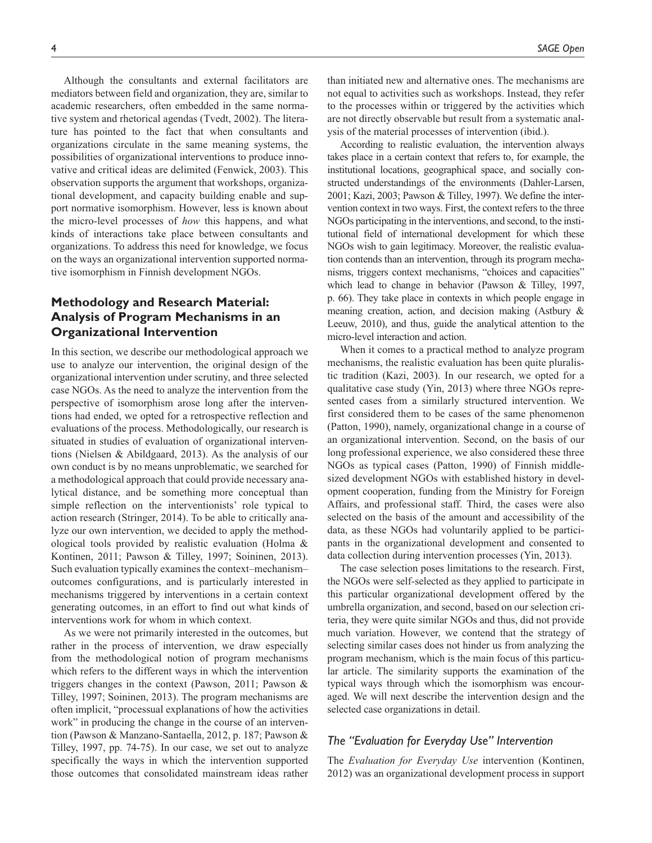Although the consultants and external facilitators are mediators between field and organization, they are, similar to academic researchers, often embedded in the same normative system and rhetorical agendas (Tvedt, 2002). The literature has pointed to the fact that when consultants and organizations circulate in the same meaning systems, the possibilities of organizational interventions to produce innovative and critical ideas are delimited (Fenwick, 2003). This observation supports the argument that workshops, organizational development, and capacity building enable and support normative isomorphism. However, less is known about the micro-level processes of *how* this happens, and what kinds of interactions take place between consultants and organizations. To address this need for knowledge, we focus on the ways an organizational intervention supported normative isomorphism in Finnish development NGOs.

### **Methodology and Research Material: Analysis of Program Mechanisms in an Organizational Intervention**

In this section, we describe our methodological approach we use to analyze our intervention, the original design of the organizational intervention under scrutiny, and three selected case NGOs. As the need to analyze the intervention from the perspective of isomorphism arose long after the interventions had ended, we opted for a retrospective reflection and evaluations of the process. Methodologically, our research is situated in studies of evaluation of organizational interventions (Nielsen & Abildgaard, 2013). As the analysis of our own conduct is by no means unproblematic, we searched for a methodological approach that could provide necessary analytical distance, and be something more conceptual than simple reflection on the interventionists' role typical to action research (Stringer, 2014). To be able to critically analyze our own intervention, we decided to apply the methodological tools provided by realistic evaluation (Holma & Kontinen, 2011; Pawson & Tilley, 1997; Soininen, 2013). Such evaluation typically examines the context–mechanism– outcomes configurations, and is particularly interested in mechanisms triggered by interventions in a certain context generating outcomes, in an effort to find out what kinds of interventions work for whom in which context.

As we were not primarily interested in the outcomes, but rather in the process of intervention, we draw especially from the methodological notion of program mechanisms which refers to the different ways in which the intervention triggers changes in the context (Pawson, 2011; Pawson & Tilley, 1997; Soininen, 2013). The program mechanisms are often implicit, "processual explanations of how the activities work" in producing the change in the course of an intervention (Pawson & Manzano-Santaella, 2012, p. 187; Pawson & Tilley, 1997, pp. 74-75). In our case, we set out to analyze specifically the ways in which the intervention supported those outcomes that consolidated mainstream ideas rather

4 *SAGE Open*

than initiated new and alternative ones. The mechanisms are not equal to activities such as workshops. Instead, they refer to the processes within or triggered by the activities which are not directly observable but result from a systematic analysis of the material processes of intervention (ibid.).

According to realistic evaluation, the intervention always takes place in a certain context that refers to, for example, the institutional locations, geographical space, and socially constructed understandings of the environments (Dahler-Larsen, 2001; Kazi, 2003; Pawson & Tilley, 1997). We define the intervention context in two ways. First, the context refers to the three NGOs participating in the interventions, and second, to the institutional field of international development for which these NGOs wish to gain legitimacy. Moreover, the realistic evaluation contends than an intervention, through its program mechanisms, triggers context mechanisms, "choices and capacities" which lead to change in behavior (Pawson & Tilley, 1997, p. 66). They take place in contexts in which people engage in meaning creation, action, and decision making (Astbury & Leeuw, 2010), and thus, guide the analytical attention to the micro-level interaction and action.

When it comes to a practical method to analyze program mechanisms, the realistic evaluation has been quite pluralistic tradition (Kazi, 2003). In our research, we opted for a qualitative case study (Yin, 2013) where three NGOs represented cases from a similarly structured intervention. We first considered them to be cases of the same phenomenon (Patton, 1990), namely, organizational change in a course of an organizational intervention. Second, on the basis of our long professional experience, we also considered these three NGOs as typical cases (Patton, 1990) of Finnish middlesized development NGOs with established history in development cooperation, funding from the Ministry for Foreign Affairs, and professional staff. Third, the cases were also selected on the basis of the amount and accessibility of the data, as these NGOs had voluntarily applied to be participants in the organizational development and consented to data collection during intervention processes (Yin, 2013).

The case selection poses limitations to the research. First, the NGOs were self-selected as they applied to participate in this particular organizational development offered by the umbrella organization, and second, based on our selection criteria, they were quite similar NGOs and thus, did not provide much variation. However, we contend that the strategy of selecting similar cases does not hinder us from analyzing the program mechanism, which is the main focus of this particular article. The similarity supports the examination of the typical ways through which the isomorphism was encouraged. We will next describe the intervention design and the selected case organizations in detail.

### *The "Evaluation for Everyday Use" Intervention*

The *Evaluation for Everyday Use* intervention (Kontinen, 2012) was an organizational development process in support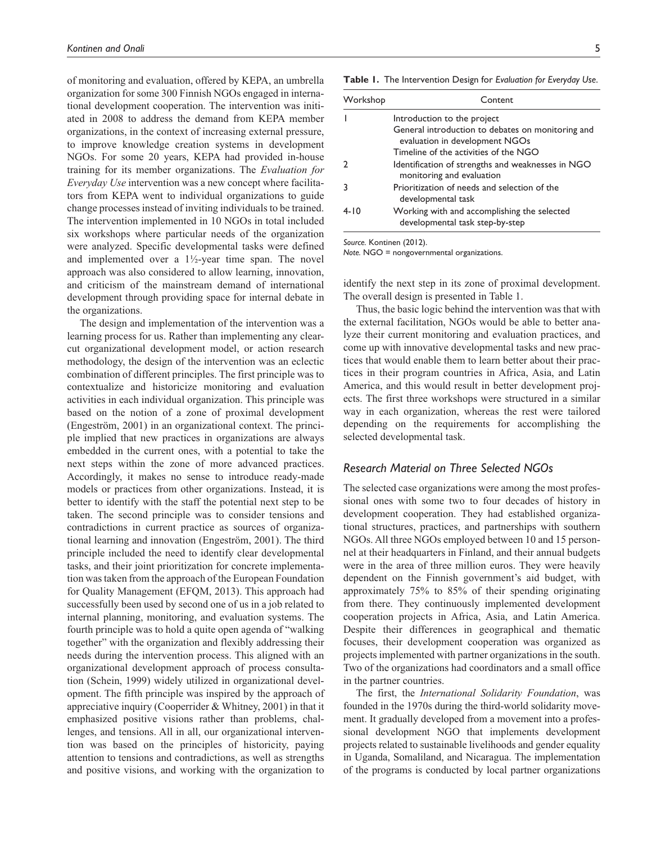of monitoring and evaluation, offered by KEPA, an umbrella organization for some 300 Finnish NGOs engaged in international development cooperation. The intervention was initiated in 2008 to address the demand from KEPA member organizations, in the context of increasing external pressure, to improve knowledge creation systems in development NGOs. For some 20 years, KEPA had provided in-house training for its member organizations. The *Evaluation for Everyday Use* intervention was a new concept where facilitators from KEPA went to individual organizations to guide change processes instead of inviting individuals to be trained. The intervention implemented in 10 NGOs in total included six workshops where particular needs of the organization were analyzed. Specific developmental tasks were defined and implemented over a  $1\frac{1}{2}$ -year time span. The novel approach was also considered to allow learning, innovation, and criticism of the mainstream demand of international development through providing space for internal debate in the organizations.

The design and implementation of the intervention was a learning process for us. Rather than implementing any clearcut organizational development model, or action research methodology, the design of the intervention was an eclectic combination of different principles. The first principle was to contextualize and historicize monitoring and evaluation activities in each individual organization. This principle was based on the notion of a zone of proximal development (Engeström, 2001) in an organizational context. The principle implied that new practices in organizations are always embedded in the current ones, with a potential to take the next steps within the zone of more advanced practices. Accordingly, it makes no sense to introduce ready-made models or practices from other organizations. Instead, it is better to identify with the staff the potential next step to be taken. The second principle was to consider tensions and contradictions in current practice as sources of organizational learning and innovation (Engeström, 2001). The third principle included the need to identify clear developmental tasks, and their joint prioritization for concrete implementation was taken from the approach of the European Foundation for Quality Management (EFQM, 2013). This approach had successfully been used by second one of us in a job related to internal planning, monitoring, and evaluation systems. The fourth principle was to hold a quite open agenda of "walking together" with the organization and flexibly addressing their needs during the intervention process. This aligned with an organizational development approach of process consultation (Schein, 1999) widely utilized in organizational development. The fifth principle was inspired by the approach of appreciative inquiry (Cooperrider & Whitney, 2001) in that it emphasized positive visions rather than problems, challenges, and tensions. All in all, our organizational intervention was based on the principles of historicity, paying attention to tensions and contradictions, as well as strengths and positive visions, and working with the organization to

| Workshop | Content                                                                             |
|----------|-------------------------------------------------------------------------------------|
|          | Introduction to the project                                                         |
|          | General introduction to debates on monitoring and<br>evaluation in development NGOs |
|          | Timeline of the activities of the NGO                                               |
|          | Identification of strengths and weaknesses in NGO<br>monitoring and evaluation      |
|          | Prioritization of needs and selection of the<br>developmental task                  |
| $4 - 10$ | Working with and accomplishing the selected<br>developmental task step-by-step      |

*Source.* Kontinen (2012).

*Note.* NGO = nongovernmental organizations.

identify the next step in its zone of proximal development. The overall design is presented in Table 1.

Thus, the basic logic behind the intervention was that with the external facilitation, NGOs would be able to better analyze their current monitoring and evaluation practices, and come up with innovative developmental tasks and new practices that would enable them to learn better about their practices in their program countries in Africa, Asia, and Latin America, and this would result in better development projects. The first three workshops were structured in a similar way in each organization, whereas the rest were tailored depending on the requirements for accomplishing the selected developmental task.

### *Research Material on Three Selected NGOs*

The selected case organizations were among the most professional ones with some two to four decades of history in development cooperation. They had established organizational structures, practices, and partnerships with southern NGOs. All three NGOs employed between 10 and 15 personnel at their headquarters in Finland, and their annual budgets were in the area of three million euros. They were heavily dependent on the Finnish government's aid budget, with approximately 75% to 85% of their spending originating from there. They continuously implemented development cooperation projects in Africa, Asia, and Latin America. Despite their differences in geographical and thematic focuses, their development cooperation was organized as projects implemented with partner organizations in the south. Two of the organizations had coordinators and a small office in the partner countries.

The first, the *International Solidarity Foundation*, was founded in the 1970s during the third-world solidarity movement. It gradually developed from a movement into a professional development NGO that implements development projects related to sustainable livelihoods and gender equality in Uganda, Somaliland, and Nicaragua. The implementation of the programs is conducted by local partner organizations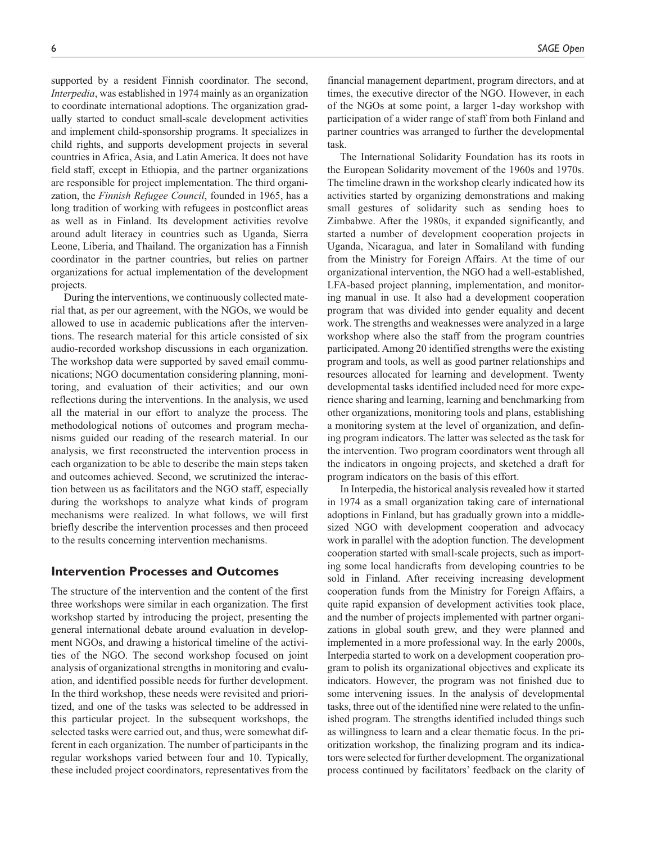supported by a resident Finnish coordinator. The second, *Interpedia*, was established in 1974 mainly as an organization to coordinate international adoptions. The organization gradually started to conduct small-scale development activities and implement child-sponsorship programs. It specializes in child rights, and supports development projects in several countries in Africa, Asia, and Latin America. It does not have field staff, except in Ethiopia, and the partner organizations are responsible for project implementation. The third organization, the *Finnish Refugee Council*, founded in 1965, has a long tradition of working with refugees in postconflict areas as well as in Finland. Its development activities revolve around adult literacy in countries such as Uganda, Sierra Leone, Liberia, and Thailand. The organization has a Finnish coordinator in the partner countries, but relies on partner organizations for actual implementation of the development projects.

During the interventions, we continuously collected material that, as per our agreement, with the NGOs, we would be allowed to use in academic publications after the interventions. The research material for this article consisted of six audio-recorded workshop discussions in each organization. The workshop data were supported by saved email communications; NGO documentation considering planning, monitoring, and evaluation of their activities; and our own reflections during the interventions. In the analysis, we used all the material in our effort to analyze the process. The methodological notions of outcomes and program mechanisms guided our reading of the research material. In our analysis, we first reconstructed the intervention process in each organization to be able to describe the main steps taken and outcomes achieved. Second, we scrutinized the interaction between us as facilitators and the NGO staff, especially during the workshops to analyze what kinds of program mechanisms were realized. In what follows, we will first briefly describe the intervention processes and then proceed to the results concerning intervention mechanisms.

#### **Intervention Processes and Outcomes**

The structure of the intervention and the content of the first three workshops were similar in each organization. The first workshop started by introducing the project, presenting the general international debate around evaluation in development NGOs, and drawing a historical timeline of the activities of the NGO. The second workshop focused on joint analysis of organizational strengths in monitoring and evaluation, and identified possible needs for further development. In the third workshop, these needs were revisited and prioritized, and one of the tasks was selected to be addressed in this particular project. In the subsequent workshops, the selected tasks were carried out, and thus, were somewhat different in each organization. The number of participants in the regular workshops varied between four and 10. Typically, these included project coordinators, representatives from the

financial management department, program directors, and at times, the executive director of the NGO. However, in each of the NGOs at some point, a larger 1-day workshop with participation of a wider range of staff from both Finland and partner countries was arranged to further the developmental task.

The International Solidarity Foundation has its roots in the European Solidarity movement of the 1960s and 1970s. The timeline drawn in the workshop clearly indicated how its activities started by organizing demonstrations and making small gestures of solidarity such as sending hoes to Zimbabwe. After the 1980s, it expanded significantly, and started a number of development cooperation projects in Uganda, Nicaragua, and later in Somaliland with funding from the Ministry for Foreign Affairs. At the time of our organizational intervention, the NGO had a well-established, LFA-based project planning, implementation, and monitoring manual in use. It also had a development cooperation program that was divided into gender equality and decent work. The strengths and weaknesses were analyzed in a large workshop where also the staff from the program countries participated. Among 20 identified strengths were the existing program and tools, as well as good partner relationships and resources allocated for learning and development. Twenty developmental tasks identified included need for more experience sharing and learning, learning and benchmarking from other organizations, monitoring tools and plans, establishing a monitoring system at the level of organization, and defining program indicators. The latter was selected as the task for the intervention. Two program coordinators went through all the indicators in ongoing projects, and sketched a draft for program indicators on the basis of this effort.

In Interpedia, the historical analysis revealed how it started in 1974 as a small organization taking care of international adoptions in Finland, but has gradually grown into a middlesized NGO with development cooperation and advocacy work in parallel with the adoption function. The development cooperation started with small-scale projects, such as importing some local handicrafts from developing countries to be sold in Finland. After receiving increasing development cooperation funds from the Ministry for Foreign Affairs, a quite rapid expansion of development activities took place, and the number of projects implemented with partner organizations in global south grew, and they were planned and implemented in a more professional way. In the early 2000s, Interpedia started to work on a development cooperation program to polish its organizational objectives and explicate its indicators. However, the program was not finished due to some intervening issues. In the analysis of developmental tasks, three out of the identified nine were related to the unfinished program. The strengths identified included things such as willingness to learn and a clear thematic focus. In the prioritization workshop, the finalizing program and its indicators were selected for further development. The organizational process continued by facilitators' feedback on the clarity of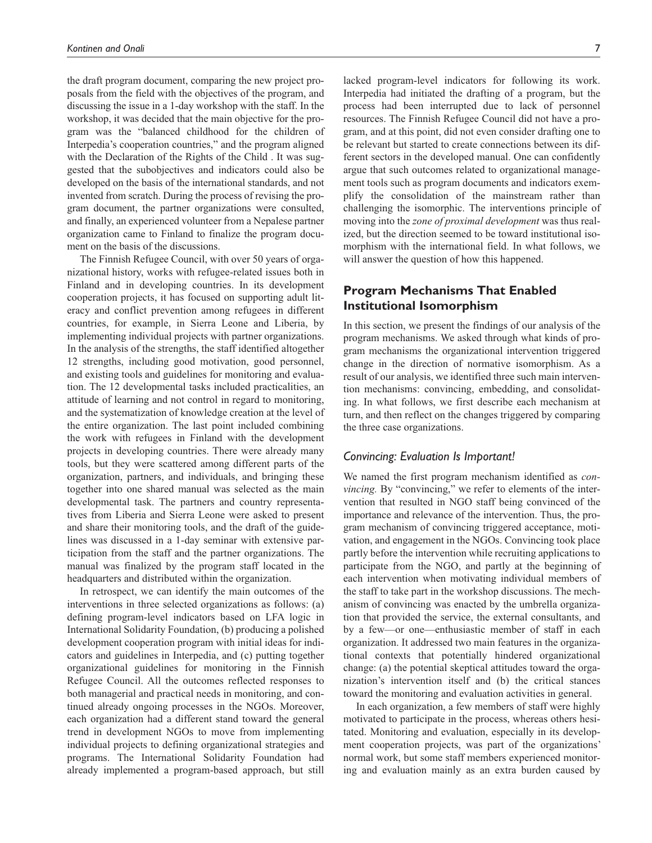the draft program document, comparing the new project proposals from the field with the objectives of the program, and discussing the issue in a 1-day workshop with the staff. In the workshop, it was decided that the main objective for the program was the "balanced childhood for the children of Interpedia's cooperation countries," and the program aligned with the Declaration of the Rights of the Child . It was suggested that the subobjectives and indicators could also be developed on the basis of the international standards, and not invented from scratch. During the process of revising the program document, the partner organizations were consulted, and finally, an experienced volunteer from a Nepalese partner organization came to Finland to finalize the program document on the basis of the discussions.

The Finnish Refugee Council, with over 50 years of organizational history, works with refugee-related issues both in Finland and in developing countries. In its development cooperation projects, it has focused on supporting adult literacy and conflict prevention among refugees in different countries, for example, in Sierra Leone and Liberia, by implementing individual projects with partner organizations. In the analysis of the strengths, the staff identified altogether 12 strengths, including good motivation, good personnel, and existing tools and guidelines for monitoring and evaluation. The 12 developmental tasks included practicalities, an attitude of learning and not control in regard to monitoring, and the systematization of knowledge creation at the level of the entire organization. The last point included combining the work with refugees in Finland with the development projects in developing countries. There were already many tools, but they were scattered among different parts of the organization, partners, and individuals, and bringing these together into one shared manual was selected as the main developmental task. The partners and country representatives from Liberia and Sierra Leone were asked to present and share their monitoring tools, and the draft of the guidelines was discussed in a 1-day seminar with extensive participation from the staff and the partner organizations. The manual was finalized by the program staff located in the headquarters and distributed within the organization.

In retrospect, we can identify the main outcomes of the interventions in three selected organizations as follows: (a) defining program-level indicators based on LFA logic in International Solidarity Foundation, (b) producing a polished development cooperation program with initial ideas for indicators and guidelines in Interpedia, and (c) putting together organizational guidelines for monitoring in the Finnish Refugee Council. All the outcomes reflected responses to both managerial and practical needs in monitoring, and continued already ongoing processes in the NGOs. Moreover, each organization had a different stand toward the general trend in development NGOs to move from implementing individual projects to defining organizational strategies and programs. The International Solidarity Foundation had already implemented a program-based approach, but still

lacked program-level indicators for following its work. Interpedia had initiated the drafting of a program, but the process had been interrupted due to lack of personnel resources. The Finnish Refugee Council did not have a program, and at this point, did not even consider drafting one to be relevant but started to create connections between its different sectors in the developed manual. One can confidently argue that such outcomes related to organizational management tools such as program documents and indicators exemplify the consolidation of the mainstream rather than challenging the isomorphic. The interventions principle of moving into the *zone of proximal development* was thus realized, but the direction seemed to be toward institutional isomorphism with the international field. In what follows, we will answer the question of how this happened.

### **Program Mechanisms That Enabled Institutional Isomorphism**

In this section, we present the findings of our analysis of the program mechanisms. We asked through what kinds of program mechanisms the organizational intervention triggered change in the direction of normative isomorphism. As a result of our analysis, we identified three such main intervention mechanisms: convincing, embedding, and consolidating. In what follows, we first describe each mechanism at turn, and then reflect on the changes triggered by comparing the three case organizations.

#### *Convincing: Evaluation Is Important!*

We named the first program mechanism identified as *convincing.* By "convincing," we refer to elements of the intervention that resulted in NGO staff being convinced of the importance and relevance of the intervention. Thus, the program mechanism of convincing triggered acceptance, motivation, and engagement in the NGOs. Convincing took place partly before the intervention while recruiting applications to participate from the NGO, and partly at the beginning of each intervention when motivating individual members of the staff to take part in the workshop discussions. The mechanism of convincing was enacted by the umbrella organization that provided the service, the external consultants, and by a few—or one—enthusiastic member of staff in each organization. It addressed two main features in the organizational contexts that potentially hindered organizational change: (a) the potential skeptical attitudes toward the organization's intervention itself and (b) the critical stances toward the monitoring and evaluation activities in general.

In each organization, a few members of staff were highly motivated to participate in the process, whereas others hesitated. Monitoring and evaluation, especially in its development cooperation projects, was part of the organizations' normal work, but some staff members experienced monitoring and evaluation mainly as an extra burden caused by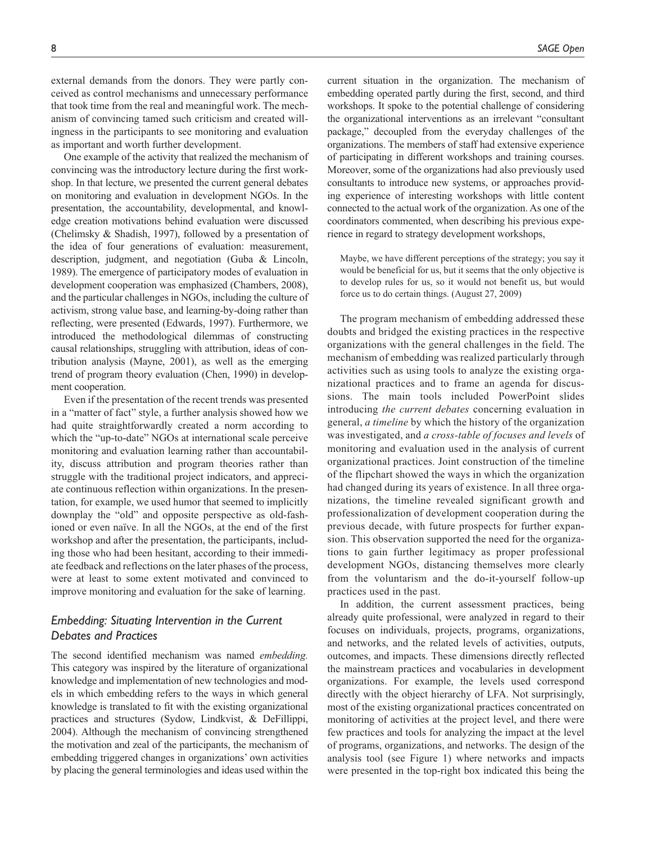external demands from the donors. They were partly conceived as control mechanisms and unnecessary performance that took time from the real and meaningful work. The mechanism of convincing tamed such criticism and created willingness in the participants to see monitoring and evaluation as important and worth further development.

One example of the activity that realized the mechanism of convincing was the introductory lecture during the first workshop. In that lecture, we presented the current general debates on monitoring and evaluation in development NGOs. In the presentation, the accountability, developmental, and knowledge creation motivations behind evaluation were discussed (Chelimsky & Shadish, 1997), followed by a presentation of the idea of four generations of evaluation: measurement, description, judgment, and negotiation (Guba & Lincoln, 1989). The emergence of participatory modes of evaluation in development cooperation was emphasized (Chambers, 2008), and the particular challenges in NGOs, including the culture of activism, strong value base, and learning-by-doing rather than reflecting, were presented (Edwards, 1997). Furthermore, we introduced the methodological dilemmas of constructing causal relationships, struggling with attribution, ideas of contribution analysis (Mayne, 2001), as well as the emerging trend of program theory evaluation (Chen, 1990) in development cooperation.

Even if the presentation of the recent trends was presented in a "matter of fact" style, a further analysis showed how we had quite straightforwardly created a norm according to which the "up-to-date" NGOs at international scale perceive monitoring and evaluation learning rather than accountability, discuss attribution and program theories rather than struggle with the traditional project indicators, and appreciate continuous reflection within organizations. In the presentation, for example, we used humor that seemed to implicitly downplay the "old" and opposite perspective as old-fashioned or even naïve. In all the NGOs, at the end of the first workshop and after the presentation, the participants, including those who had been hesitant, according to their immediate feedback and reflections on the later phases of the process, were at least to some extent motivated and convinced to improve monitoring and evaluation for the sake of learning.

### *Embedding: Situating Intervention in the Current Debates and Practices*

The second identified mechanism was named *embedding.* This category was inspired by the literature of organizational knowledge and implementation of new technologies and models in which embedding refers to the ways in which general knowledge is translated to fit with the existing organizational practices and structures (Sydow, Lindkvist, & DeFillippi, 2004). Although the mechanism of convincing strengthened the motivation and zeal of the participants, the mechanism of embedding triggered changes in organizations' own activities by placing the general terminologies and ideas used within the

current situation in the organization. The mechanism of embedding operated partly during the first, second, and third workshops. It spoke to the potential challenge of considering the organizational interventions as an irrelevant "consultant package," decoupled from the everyday challenges of the organizations. The members of staff had extensive experience of participating in different workshops and training courses. Moreover, some of the organizations had also previously used consultants to introduce new systems, or approaches providing experience of interesting workshops with little content connected to the actual work of the organization. As one of the coordinators commented, when describing his previous experience in regard to strategy development workshops,

Maybe, we have different perceptions of the strategy; you say it would be beneficial for us, but it seems that the only objective is to develop rules for us, so it would not benefit us, but would force us to do certain things. (August 27, 2009)

The program mechanism of embedding addressed these doubts and bridged the existing practices in the respective organizations with the general challenges in the field. The mechanism of embedding was realized particularly through activities such as using tools to analyze the existing organizational practices and to frame an agenda for discussions. The main tools included PowerPoint slides introducing *the current debates* concerning evaluation in general, *a timeline* by which the history of the organization was investigated, and *a cross-table of focuses and levels* of monitoring and evaluation used in the analysis of current organizational practices. Joint construction of the timeline of the flipchart showed the ways in which the organization had changed during its years of existence. In all three organizations, the timeline revealed significant growth and professionalization of development cooperation during the previous decade, with future prospects for further expansion. This observation supported the need for the organizations to gain further legitimacy as proper professional development NGOs, distancing themselves more clearly from the voluntarism and the do-it-yourself follow-up practices used in the past.

In addition, the current assessment practices, being already quite professional, were analyzed in regard to their focuses on individuals, projects, programs, organizations, and networks, and the related levels of activities, outputs, outcomes, and impacts. These dimensions directly reflected the mainstream practices and vocabularies in development organizations. For example, the levels used correspond directly with the object hierarchy of LFA. Not surprisingly, most of the existing organizational practices concentrated on monitoring of activities at the project level, and there were few practices and tools for analyzing the impact at the level of programs, organizations, and networks. The design of the analysis tool (see Figure 1) where networks and impacts were presented in the top-right box indicated this being the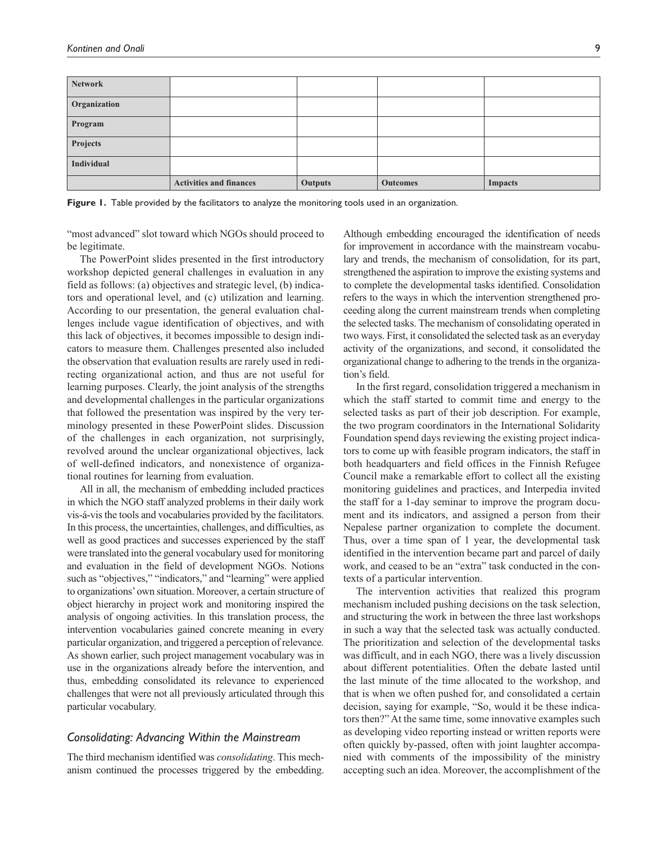| <b>Network</b> |                                |         |                 |                |
|----------------|--------------------------------|---------|-----------------|----------------|
| Organization   |                                |         |                 |                |
| Program        |                                |         |                 |                |
| Projects       |                                |         |                 |                |
| Individual     |                                |         |                 |                |
|                | <b>Activities and finances</b> | Outputs | <b>Outcomes</b> | <b>Impacts</b> |

**Figure 1.** Table provided by the facilitators to analyze the monitoring tools used in an organization.

"most advanced" slot toward which NGOs should proceed to be legitimate.

The PowerPoint slides presented in the first introductory workshop depicted general challenges in evaluation in any field as follows: (a) objectives and strategic level, (b) indicators and operational level, and (c) utilization and learning. According to our presentation, the general evaluation challenges include vague identification of objectives, and with this lack of objectives, it becomes impossible to design indicators to measure them. Challenges presented also included the observation that evaluation results are rarely used in redirecting organizational action, and thus are not useful for learning purposes. Clearly, the joint analysis of the strengths and developmental challenges in the particular organizations that followed the presentation was inspired by the very terminology presented in these PowerPoint slides. Discussion of the challenges in each organization, not surprisingly, revolved around the unclear organizational objectives, lack of well-defined indicators, and nonexistence of organizational routines for learning from evaluation.

All in all, the mechanism of embedding included practices in which the NGO staff analyzed problems in their daily work vis-á-vis the tools and vocabularies provided by the facilitators. In this process, the uncertainties, challenges, and difficulties, as well as good practices and successes experienced by the staff were translated into the general vocabulary used for monitoring and evaluation in the field of development NGOs. Notions such as "objectives," "indicators," and "learning" were applied to organizations' own situation. Moreover, a certain structure of object hierarchy in project work and monitoring inspired the analysis of ongoing activities. In this translation process, the intervention vocabularies gained concrete meaning in every particular organization, and triggered a perception of relevance. As shown earlier, such project management vocabulary was in use in the organizations already before the intervention, and thus, embedding consolidated its relevance to experienced challenges that were not all previously articulated through this particular vocabulary.

#### *Consolidating: Advancing Within the Mainstream*

The third mechanism identified was *consolidating*. This mechanism continued the processes triggered by the embedding.

Although embedding encouraged the identification of needs for improvement in accordance with the mainstream vocabulary and trends, the mechanism of consolidation, for its part, strengthened the aspiration to improve the existing systems and to complete the developmental tasks identified. Consolidation refers to the ways in which the intervention strengthened proceeding along the current mainstream trends when completing the selected tasks. The mechanism of consolidating operated in two ways. First, it consolidated the selected task as an everyday activity of the organizations, and second, it consolidated the organizational change to adhering to the trends in the organization's field.

In the first regard, consolidation triggered a mechanism in which the staff started to commit time and energy to the selected tasks as part of their job description. For example, the two program coordinators in the International Solidarity Foundation spend days reviewing the existing project indicators to come up with feasible program indicators, the staff in both headquarters and field offices in the Finnish Refugee Council make a remarkable effort to collect all the existing monitoring guidelines and practices, and Interpedia invited the staff for a 1-day seminar to improve the program document and its indicators, and assigned a person from their Nepalese partner organization to complete the document. Thus, over a time span of 1 year, the developmental task identified in the intervention became part and parcel of daily work, and ceased to be an "extra" task conducted in the contexts of a particular intervention.

The intervention activities that realized this program mechanism included pushing decisions on the task selection, and structuring the work in between the three last workshops in such a way that the selected task was actually conducted. The prioritization and selection of the developmental tasks was difficult, and in each NGO, there was a lively discussion about different potentialities. Often the debate lasted until the last minute of the time allocated to the workshop, and that is when we often pushed for, and consolidated a certain decision, saying for example, "So, would it be these indicators then?" At the same time, some innovative examples such as developing video reporting instead or written reports were often quickly by-passed, often with joint laughter accompanied with comments of the impossibility of the ministry accepting such an idea. Moreover, the accomplishment of the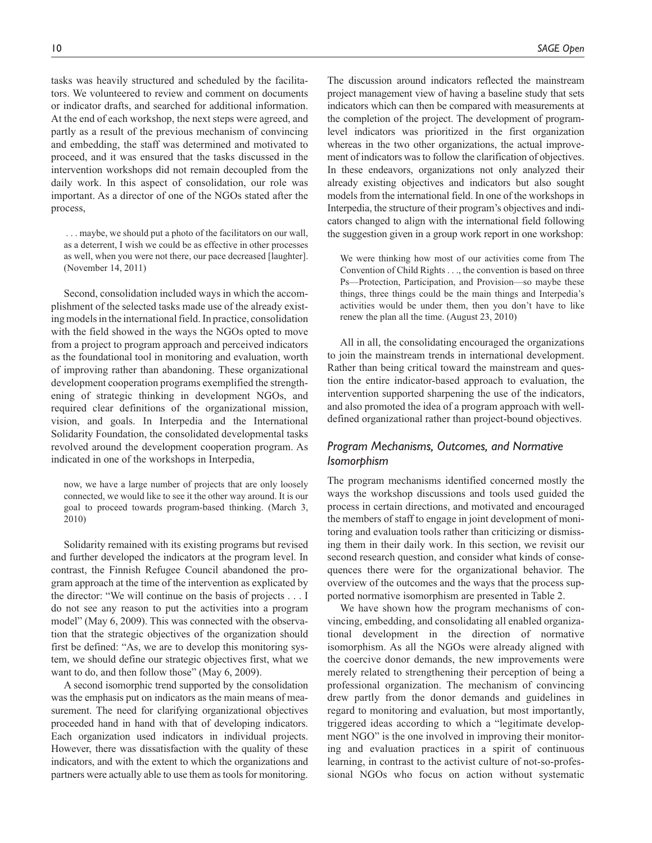tasks was heavily structured and scheduled by the facilitators. We volunteered to review and comment on documents or indicator drafts, and searched for additional information. At the end of each workshop, the next steps were agreed, and partly as a result of the previous mechanism of convincing and embedding, the staff was determined and motivated to proceed, and it was ensured that the tasks discussed in the intervention workshops did not remain decoupled from the daily work. In this aspect of consolidation, our role was important. As a director of one of the NGOs stated after the process,

 . . . maybe, we should put a photo of the facilitators on our wall, as a deterrent, I wish we could be as effective in other processes as well, when you were not there, our pace decreased [laughter]. (November 14, 2011)

Second, consolidation included ways in which the accomplishment of the selected tasks made use of the already existing models in the international field. In practice, consolidation with the field showed in the ways the NGOs opted to move from a project to program approach and perceived indicators as the foundational tool in monitoring and evaluation, worth of improving rather than abandoning. These organizational development cooperation programs exemplified the strengthening of strategic thinking in development NGOs, and required clear definitions of the organizational mission, vision, and goals. In Interpedia and the International Solidarity Foundation, the consolidated developmental tasks revolved around the development cooperation program. As indicated in one of the workshops in Interpedia,

now, we have a large number of projects that are only loosely connected, we would like to see it the other way around. It is our goal to proceed towards program-based thinking. (March 3, 2010)

Solidarity remained with its existing programs but revised and further developed the indicators at the program level. In contrast, the Finnish Refugee Council abandoned the program approach at the time of the intervention as explicated by the director: "We will continue on the basis of projects . . . I do not see any reason to put the activities into a program model" (May 6, 2009). This was connected with the observation that the strategic objectives of the organization should first be defined: "As, we are to develop this monitoring system, we should define our strategic objectives first, what we want to do, and then follow those" (May 6, 2009).

A second isomorphic trend supported by the consolidation was the emphasis put on indicators as the main means of measurement. The need for clarifying organizational objectives proceeded hand in hand with that of developing indicators. Each organization used indicators in individual projects. However, there was dissatisfaction with the quality of these indicators, and with the extent to which the organizations and partners were actually able to use them as tools for monitoring. The discussion around indicators reflected the mainstream project management view of having a baseline study that sets indicators which can then be compared with measurements at the completion of the project. The development of programlevel indicators was prioritized in the first organization whereas in the two other organizations, the actual improvement of indicators was to follow the clarification of objectives. In these endeavors, organizations not only analyzed their already existing objectives and indicators but also sought models from the international field. In one of the workshops in Interpedia, the structure of their program's objectives and indicators changed to align with the international field following the suggestion given in a group work report in one workshop:

We were thinking how most of our activities come from The Convention of Child Rights . . ., the convention is based on three Ps—Protection, Participation, and Provision—so maybe these things, three things could be the main things and Interpedia's activities would be under them, then you don't have to like renew the plan all the time. (August 23, 2010)

All in all, the consolidating encouraged the organizations to join the mainstream trends in international development. Rather than being critical toward the mainstream and question the entire indicator-based approach to evaluation, the intervention supported sharpening the use of the indicators, and also promoted the idea of a program approach with welldefined organizational rather than project-bound objectives.

### *Program Mechanisms, Outcomes, and Normative Isomorphism*

The program mechanisms identified concerned mostly the ways the workshop discussions and tools used guided the process in certain directions, and motivated and encouraged the members of staff to engage in joint development of monitoring and evaluation tools rather than criticizing or dismissing them in their daily work. In this section, we revisit our second research question, and consider what kinds of consequences there were for the organizational behavior. The overview of the outcomes and the ways that the process supported normative isomorphism are presented in Table 2.

We have shown how the program mechanisms of convincing, embedding, and consolidating all enabled organizational development in the direction of normative isomorphism. As all the NGOs were already aligned with the coercive donor demands, the new improvements were merely related to strengthening their perception of being a professional organization. The mechanism of convincing drew partly from the donor demands and guidelines in regard to monitoring and evaluation, but most importantly, triggered ideas according to which a "legitimate development NGO" is the one involved in improving their monitoring and evaluation practices in a spirit of continuous learning, in contrast to the activist culture of not-so-professional NGOs who focus on action without systematic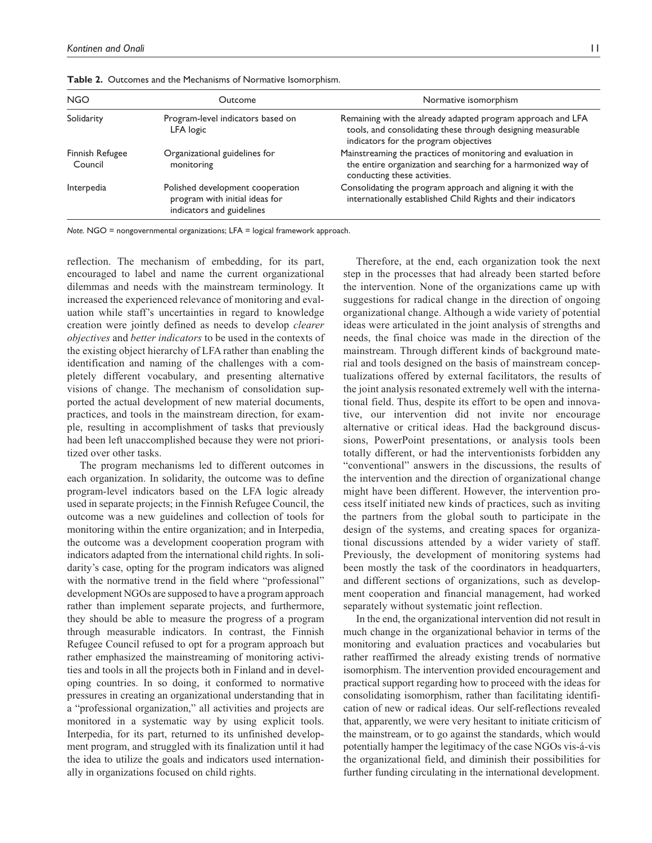| <b>NGO</b>                 | Outcome                                                                                         | Normative isomorphism                                                                                                                                               |  |
|----------------------------|-------------------------------------------------------------------------------------------------|---------------------------------------------------------------------------------------------------------------------------------------------------------------------|--|
| Solidarity                 | Program-level indicators based on<br>LFA logic                                                  | Remaining with the already adapted program approach and LFA<br>tools, and consolidating these through designing measurable<br>indicators for the program objectives |  |
| Finnish Refugee<br>Council | Organizational guidelines for<br>monitoring                                                     | Mainstreaming the practices of monitoring and evaluation in<br>the entire organization and searching for a harmonized way of<br>conducting these activities.        |  |
| Interpedia                 | Polished development cooperation<br>program with initial ideas for<br>indicators and guidelines | Consolidating the program approach and aligning it with the<br>internationally established Child Rights and their indicators                                        |  |

**Table 2.** Outcomes and the Mechanisms of Normative Isomorphism.

*Note.* NGO = nongovernmental organizations; LFA = logical framework approach.

reflection. The mechanism of embedding, for its part, encouraged to label and name the current organizational dilemmas and needs with the mainstream terminology. It increased the experienced relevance of monitoring and evaluation while staff's uncertainties in regard to knowledge creation were jointly defined as needs to develop *clearer objectives* and *better indicators* to be used in the contexts of the existing object hierarchy of LFA rather than enabling the identification and naming of the challenges with a completely different vocabulary, and presenting alternative visions of change. The mechanism of consolidation supported the actual development of new material documents, practices, and tools in the mainstream direction, for example, resulting in accomplishment of tasks that previously had been left unaccomplished because they were not prioritized over other tasks.

The program mechanisms led to different outcomes in each organization. In solidarity, the outcome was to define program-level indicators based on the LFA logic already used in separate projects; in the Finnish Refugee Council, the outcome was a new guidelines and collection of tools for monitoring within the entire organization; and in Interpedia, the outcome was a development cooperation program with indicators adapted from the international child rights. In solidarity's case, opting for the program indicators was aligned with the normative trend in the field where "professional" development NGOs are supposed to have a program approach rather than implement separate projects, and furthermore, they should be able to measure the progress of a program through measurable indicators. In contrast, the Finnish Refugee Council refused to opt for a program approach but rather emphasized the mainstreaming of monitoring activities and tools in all the projects both in Finland and in developing countries. In so doing, it conformed to normative pressures in creating an organizational understanding that in a "professional organization," all activities and projects are monitored in a systematic way by using explicit tools. Interpedia, for its part, returned to its unfinished development program, and struggled with its finalization until it had the idea to utilize the goals and indicators used internationally in organizations focused on child rights.

Therefore, at the end, each organization took the next step in the processes that had already been started before the intervention. None of the organizations came up with suggestions for radical change in the direction of ongoing organizational change. Although a wide variety of potential ideas were articulated in the joint analysis of strengths and needs, the final choice was made in the direction of the mainstream. Through different kinds of background material and tools designed on the basis of mainstream conceptualizations offered by external facilitators, the results of the joint analysis resonated extremely well with the international field. Thus, despite its effort to be open and innovative, our intervention did not invite nor encourage alternative or critical ideas. Had the background discussions, PowerPoint presentations, or analysis tools been totally different, or had the interventionists forbidden any "conventional" answers in the discussions, the results of the intervention and the direction of organizational change might have been different. However, the intervention process itself initiated new kinds of practices, such as inviting the partners from the global south to participate in the design of the systems, and creating spaces for organizational discussions attended by a wider variety of staff. Previously, the development of monitoring systems had been mostly the task of the coordinators in headquarters, and different sections of organizations, such as development cooperation and financial management, had worked separately without systematic joint reflection.

In the end, the organizational intervention did not result in much change in the organizational behavior in terms of the monitoring and evaluation practices and vocabularies but rather reaffirmed the already existing trends of normative isomorphism. The intervention provided encouragement and practical support regarding how to proceed with the ideas for consolidating isomorphism, rather than facilitating identification of new or radical ideas. Our self-reflections revealed that, apparently, we were very hesitant to initiate criticism of the mainstream, or to go against the standards, which would potentially hamper the legitimacy of the case NGOs vis-á-vis the organizational field, and diminish their possibilities for further funding circulating in the international development.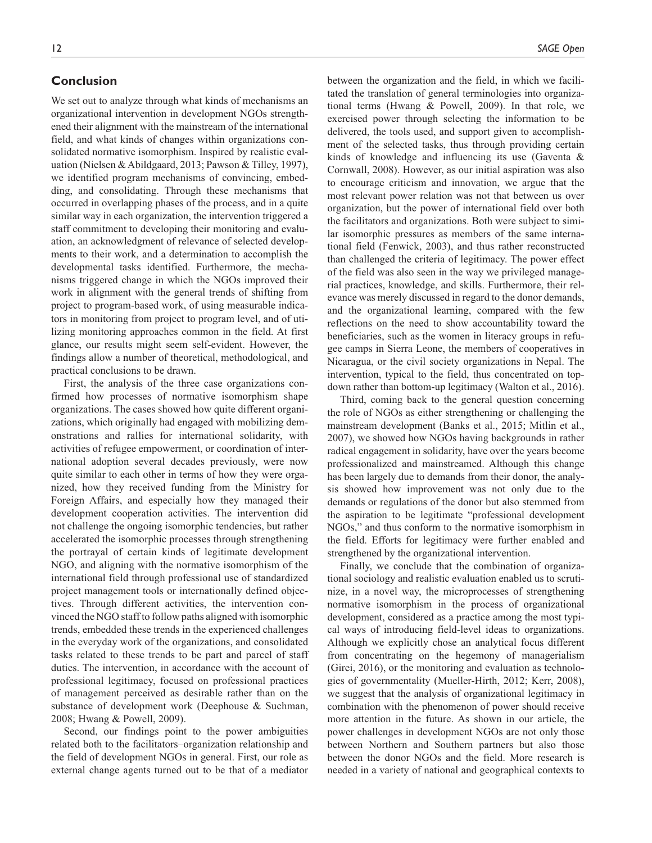### **Conclusion**

We set out to analyze through what kinds of mechanisms an organizational intervention in development NGOs strengthened their alignment with the mainstream of the international field, and what kinds of changes within organizations consolidated normative isomorphism. Inspired by realistic evaluation (Nielsen & Abildgaard, 2013; Pawson & Tilley, 1997), we identified program mechanisms of convincing, embedding, and consolidating. Through these mechanisms that occurred in overlapping phases of the process, and in a quite similar way in each organization, the intervention triggered a staff commitment to developing their monitoring and evaluation, an acknowledgment of relevance of selected developments to their work, and a determination to accomplish the developmental tasks identified. Furthermore, the mechanisms triggered change in which the NGOs improved their work in alignment with the general trends of shifting from project to program-based work, of using measurable indicators in monitoring from project to program level, and of utilizing monitoring approaches common in the field. At first glance, our results might seem self-evident. However, the findings allow a number of theoretical, methodological, and practical conclusions to be drawn.

First, the analysis of the three case organizations confirmed how processes of normative isomorphism shape organizations. The cases showed how quite different organizations, which originally had engaged with mobilizing demonstrations and rallies for international solidarity, with activities of refugee empowerment, or coordination of international adoption several decades previously, were now quite similar to each other in terms of how they were organized, how they received funding from the Ministry for Foreign Affairs, and especially how they managed their development cooperation activities. The intervention did not challenge the ongoing isomorphic tendencies, but rather accelerated the isomorphic processes through strengthening the portrayal of certain kinds of legitimate development NGO, and aligning with the normative isomorphism of the international field through professional use of standardized project management tools or internationally defined objectives. Through different activities, the intervention convinced the NGO staff to follow paths aligned with isomorphic trends, embedded these trends in the experienced challenges in the everyday work of the organizations, and consolidated tasks related to these trends to be part and parcel of staff duties. The intervention, in accordance with the account of professional legitimacy, focused on professional practices of management perceived as desirable rather than on the substance of development work (Deephouse & Suchman, 2008; Hwang & Powell, 2009).

Second, our findings point to the power ambiguities related both to the facilitators–organization relationship and the field of development NGOs in general. First, our role as external change agents turned out to be that of a mediator

between the organization and the field, in which we facilitated the translation of general terminologies into organizational terms (Hwang & Powell, 2009). In that role, we exercised power through selecting the information to be delivered, the tools used, and support given to accomplishment of the selected tasks, thus through providing certain kinds of knowledge and influencing its use (Gaventa & Cornwall, 2008). However, as our initial aspiration was also to encourage criticism and innovation, we argue that the most relevant power relation was not that between us over organization, but the power of international field over both the facilitators and organizations. Both were subject to similar isomorphic pressures as members of the same international field (Fenwick, 2003), and thus rather reconstructed than challenged the criteria of legitimacy. The power effect of the field was also seen in the way we privileged managerial practices, knowledge, and skills. Furthermore, their relevance was merely discussed in regard to the donor demands, and the organizational learning, compared with the few reflections on the need to show accountability toward the beneficiaries, such as the women in literacy groups in refugee camps in Sierra Leone, the members of cooperatives in Nicaragua, or the civil society organizations in Nepal. The intervention, typical to the field, thus concentrated on topdown rather than bottom-up legitimacy (Walton et al., 2016).

Third, coming back to the general question concerning the role of NGOs as either strengthening or challenging the mainstream development (Banks et al., 2015; Mitlin et al., 2007), we showed how NGOs having backgrounds in rather radical engagement in solidarity, have over the years become professionalized and mainstreamed. Although this change has been largely due to demands from their donor, the analysis showed how improvement was not only due to the demands or regulations of the donor but also stemmed from the aspiration to be legitimate "professional development NGOs," and thus conform to the normative isomorphism in the field. Efforts for legitimacy were further enabled and strengthened by the organizational intervention.

Finally, we conclude that the combination of organizational sociology and realistic evaluation enabled us to scrutinize, in a novel way, the microprocesses of strengthening normative isomorphism in the process of organizational development, considered as a practice among the most typical ways of introducing field-level ideas to organizations. Although we explicitly chose an analytical focus different from concentrating on the hegemony of managerialism (Girei, 2016), or the monitoring and evaluation as technologies of governmentality (Mueller-Hirth, 2012; Kerr, 2008), we suggest that the analysis of organizational legitimacy in combination with the phenomenon of power should receive more attention in the future. As shown in our article, the power challenges in development NGOs are not only those between Northern and Southern partners but also those between the donor NGOs and the field. More research is needed in a variety of national and geographical contexts to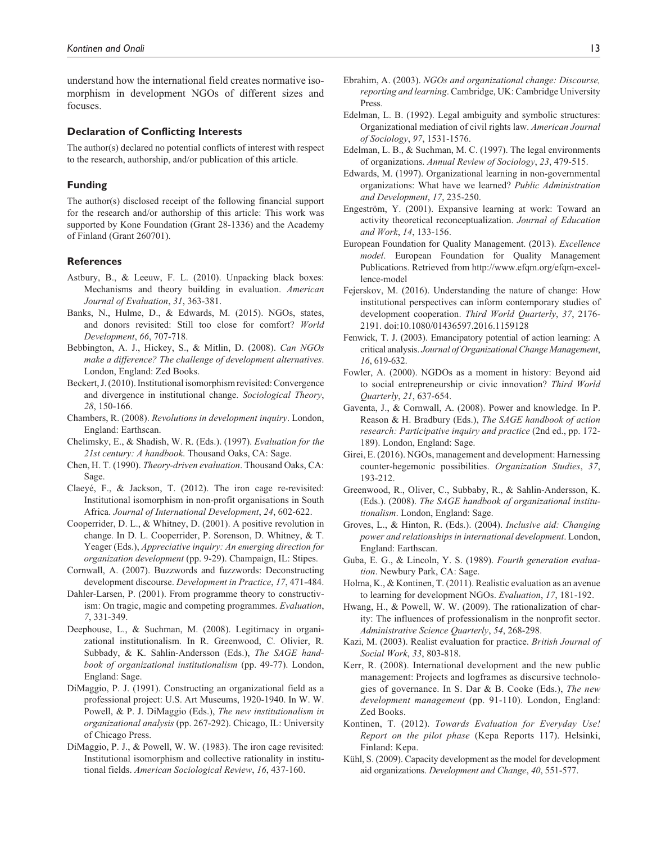understand how the international field creates normative isomorphism in development NGOs of different sizes and focuses.

#### **Declaration of Conflicting Interests**

The author(s) declared no potential conflicts of interest with respect to the research, authorship, and/or publication of this article.

#### **Funding**

The author(s) disclosed receipt of the following financial support for the research and/or authorship of this article: This work was supported by Kone Foundation (Grant 28-1336) and the Academy of Finland (Grant 260701).

#### **References**

- Astbury, B., & Leeuw, F. L. (2010). Unpacking black boxes: Mechanisms and theory building in evaluation. *American Journal of Evaluation*, *31*, 363-381.
- Banks, N., Hulme, D., & Edwards, M. (2015). NGOs, states, and donors revisited: Still too close for comfort? *World Development*, *66*, 707-718.
- Bebbington, A. J., Hickey, S., & Mitlin, D. (2008). *Can NGOs make a difference? The challenge of development alternatives*. London, England: Zed Books.
- Beckert, J. (2010). Institutional isomorphism revisited: Convergence and divergence in institutional change. *Sociological Theory*, *28*, 150-166.
- Chambers, R. (2008). *Revolutions in development inquiry*. London, England: Earthscan.
- Chelimsky, E., & Shadish, W. R. (Eds.). (1997). *Evaluation for the 21st century: A handbook*. Thousand Oaks, CA: Sage.
- Chen, H. T. (1990). *Theory-driven evaluation*. Thousand Oaks, CA: Sage.
- Claeyé, F., & Jackson, T. (2012). The iron cage re-revisited: Institutional isomorphism in non-profit organisations in South Africa. *Journal of International Development*, *24*, 602-622.
- Cooperrider, D. L., & Whitney, D. (2001). A positive revolution in change. In D. L. Cooperrider, P. Sorenson, D. Whitney, & T. Yeager (Eds.), *Appreciative inquiry: An emerging direction for organization development* (pp. 9-29). Champaign, IL: Stipes.
- Cornwall, A. (2007). Buzzwords and fuzzwords: Deconstructing development discourse. *Development in Practice*, *17*, 471-484.
- Dahler-Larsen, P. (2001). From programme theory to constructivism: On tragic, magic and competing programmes. *Evaluation*, *7*, 331-349.
- Deephouse, L., & Suchman, M. (2008). Legitimacy in organizational institutionalism. In R. Greenwood, C. Olivier, R. Subbady, & K. Sahlin-Andersson (Eds.), *The SAGE handbook of organizational institutionalism* (pp. 49-77). London, England: Sage.
- DiMaggio, P. J. (1991). Constructing an organizational field as a professional project: U.S. Art Museums, 1920-1940. In W. W. Powell, & P. J. DiMaggio (Eds.), *The new institutionalism in organizational analysis* (pp. 267-292). Chicago, IL: University of Chicago Press.
- DiMaggio, P. J., & Powell, W. W. (1983). The iron cage revisited: Institutional isomorphism and collective rationality in institutional fields. *American Sociological Review*, *16*, 437-160.
- Ebrahim, A. (2003). *NGOs and organizational change: Discourse, reporting and learning*. Cambridge, UK: Cambridge University Press.
- Edelman, L. B. (1992). Legal ambiguity and symbolic structures: Organizational mediation of civil rights law. *American Journal of Sociology*, *97*, 1531-1576.
- Edelman, L. B., & Suchman, M. C. (1997). The legal environments of organizations. *Annual Review of Sociology*, *23*, 479-515.
- Edwards, M. (1997). Organizational learning in non-governmental organizations: What have we learned? *Public Administration and Development*, *17*, 235-250.
- Engeström, Y. (2001). Expansive learning at work: Toward an activity theoretical reconceptualization. *Journal of Education and Work*, *14*, 133-156.
- European Foundation for Quality Management. (2013). *Excellence model*. European Foundation for Quality Management Publications. Retrieved from [http://www.efqm.org/efqm-excel](http://www.efqm.org/efqm-excellence-model)[lence-model](http://www.efqm.org/efqm-excellence-model)
- Fejerskov, M. (2016). Understanding the nature of change: How institutional perspectives can inform contemporary studies of development cooperation. *Third World Quarterly*, *37*, 2176- 2191. doi:10.1080/01436597.2016.1159128
- Fenwick, T. J. (2003). Emancipatory potential of action learning: A critical analysis. *Journal of Organizational Change Management*, *16*, 619-632.
- Fowler, A. (2000). NGDOs as a moment in history: Beyond aid to social entrepreneurship or civic innovation? *Third World Quarterly*, *21*, 637-654.
- Gaventa, J., & Cornwall, A. (2008). Power and knowledge. In P. Reason & H. Bradbury (Eds.), *The SAGE handbook of action research: Participative inquiry and practice* (2nd ed., pp. 172- 189). London, England: Sage.
- Girei, E. (2016). NGOs, management and development: Harnessing counter-hegemonic possibilities. *Organization Studies*, *37*, 193-212.
- Greenwood, R., Oliver, C., Subbaby, R., & Sahlin-Andersson, K. (Eds.). (2008). *The SAGE handbook of organizational institutionalism*. London, England: Sage.
- Groves, L., & Hinton, R. (Eds.). (2004). *Inclusive aid: Changing power and relationships in international development*. London, England: Earthscan.
- Guba, E. G., & Lincoln, Y. S. (1989). *Fourth generation evaluation*. Newbury Park, CA: Sage.
- Holma, K., & Kontinen, T. (2011). Realistic evaluation as an avenue to learning for development NGOs. *Evaluation*, *17*, 181-192.
- Hwang, H., & Powell, W. W. (2009). The rationalization of charity: The influences of professionalism in the nonprofit sector. *Administrative Science Quarterly*, *54*, 268-298.
- Kazi, M. (2003). Realist evaluation for practice. *British Journal of Social Work*, *33*, 803-818.
- Kerr, R. (2008). International development and the new public management: Projects and logframes as discursive technologies of governance. In S. Dar & B. Cooke (Eds.), *The new development management* (pp. 91-110). London, England: Zed Books.
- Kontinen, T. (2012). *Towards Evaluation for Everyday Use! Report on the pilot phase* (Kepa Reports 117). Helsinki, Finland: Kepa.
- Kühl, S. (2009). Capacity development as the model for development aid organizations. *Development and Change*, *40*, 551-577.